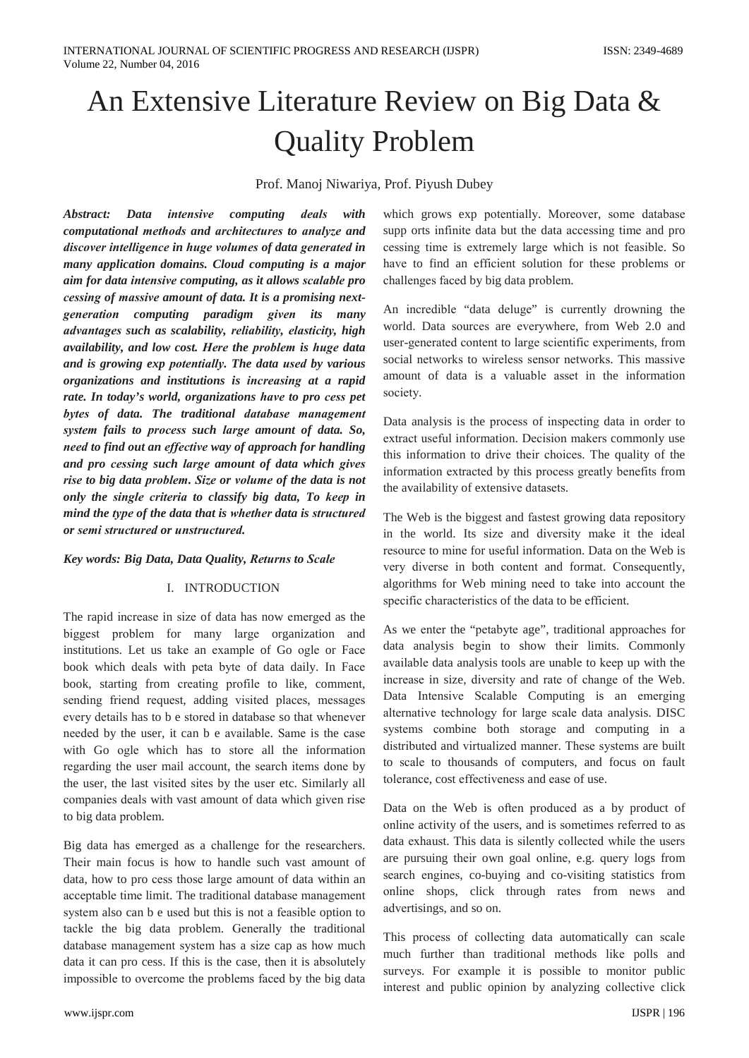# An Extensive Literature Review on Big Data & **Quality Problem**

Prof. Manoj Niwariya, Prof. Piyush Dubey

Abstract: Data *intensive* computing deals with computational methods and architectures to analyze and discover intelligence in huge volumes of data generated in many application domains. Cloud computing is a major aim for data intensive computing, as it allows scalable pro cessing of massive amount of data. It is a promising nextgeneration computing paradigm given its many advantages such as scalability, reliability, elasticity, high availability, and low cost. Here the problem is huge data and is growing exp potentially. The data used by various organizations and institutions is increasing at a rapid rate. In today's world, organizations have to pro cess pet bytes of data. The traditional database management system fails to process such large amount of data. So, need to find out an effective way of approach for handling and pro cessing such large amount of data which gives rise to big data problem. Size or volume of the data is not only the single criteria to classify big data, To keep in mind the type of the data that is whether data is structured or semi structured or unstructured.

### Key words: Big Data, Data Quality, Returns to Scale

## **I. INTRODUCTION**

The rapid increase in size of data has now emerged as the biggest problem for many large organization and institutions. Let us take an example of Go ogle or Face book which deals with peta byte of data daily. In Face book, starting from creating profile to like, comment, sending friend request, adding visited places, messages every details has to b e stored in database so that whenever needed by the user, it can b e available. Same is the case with Go ogle which has to store all the information regarding the user mail account, the search items done by the user, the last visited sites by the user etc. Similarly all companies deals with vast amount of data which given rise to big data problem.

Big data has emerged as a challenge for the researchers. Their main focus is how to handle such vast amount of data, how to pro cess those large amount of data within an acceptable time limit. The traditional database management system also can b e used but this is not a feasible option to tackle the big data problem. Generally the traditional database management system has a size cap as how much data it can pro cess. If this is the case, then it is absolutely impossible to overcome the problems faced by the big data

which grows exp potentially. Moreover, some database supp orts infinite data but the data accessing time and pro cessing time is extremely large which is not feasible. So have to find an efficient solution for these problems or challenges faced by big data problem.

An incredible "data deluge" is currently drowning the world. Data sources are everywhere, from Web 2.0 and user-generated content to large scientific experiments, from social networks to wireless sensor networks. This massive amount of data is a valuable asset in the information society.

Data analysis is the process of inspecting data in order to extract useful information. Decision makers commonly use this information to drive their choices. The quality of the information extracted by this process greatly benefits from the availability of extensive datasets.

The Web is the biggest and fastest growing data repository in the world. Its size and diversity make it the ideal resource to mine for useful information. Data on the Web is very diverse in both content and format. Consequently, algorithms for Web mining need to take into account the specific characteristics of the data to be efficient.

As we enter the "petabyte age", traditional approaches for data analysis begin to show their limits. Commonly available data analysis tools are unable to keep up with the increase in size, diversity and rate of change of the Web. Data Intensive Scalable Computing is an emerging alternative technology for large scale data analysis. DISC systems combine both storage and computing in a distributed and virtualized manner. These systems are built to scale to thousands of computers, and focus on fault tolerance, cost effectiveness and ease of use.

Data on the Web is often produced as a by product of online activity of the users, and is sometimes referred to as data exhaust. This data is silently collected while the users are pursuing their own goal online, e.g. query logs from search engines, co-buying and co-visiting statistics from online shops, click through rates from news and advertisings, and so on.

This process of collecting data automatically can scale much further than traditional methods like polls and surveys. For example it is possible to monitor public interest and public opinion by analyzing collective click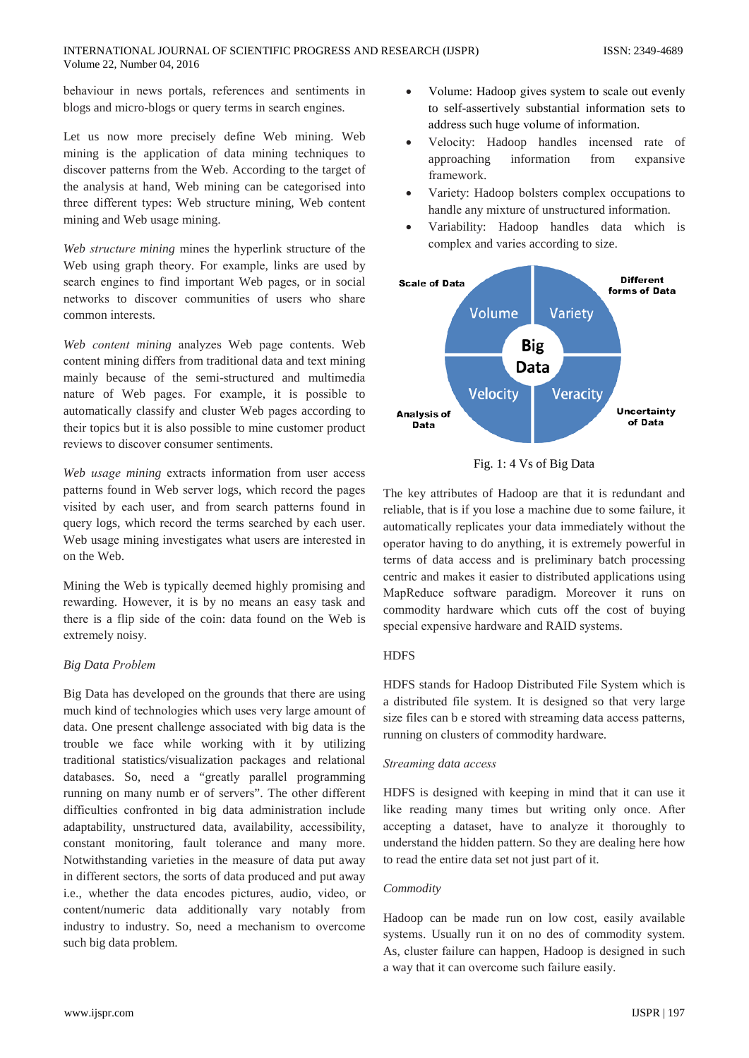behaviour in news portals, references and sentiments in blogs and micro-blogs or query terms in search engines.

Let us now more precisely define Web mining. Web mining is the application of data mining techniques to discover patterns from the Web. According to the target of the analysis at hand, Web mining can be categorised into three different types: Web structure mining, Web content mining and Web usage mining.

Web structure mining mines the hyperlink structure of the Web using graph theory. For example, links are used by search engines to find important Web pages, or in social networks to discover communities of users who share common interests

Web content mining analyzes Web page contents. Web content mining differs from traditional data and text mining mainly because of the semi-structured and multimedia nature of Web pages. For example, it is possible to automatically classify and cluster Web pages according to their topics but it is also possible to mine customer product reviews to discover consumer sentiments.

Web usage mining extracts information from user access patterns found in Web server logs, which record the pages visited by each user, and from search patterns found in query logs, which record the terms searched by each user. Web usage mining investigates what users are interested in on the Web.

Mining the Web is typically deemed highly promising and rewarding. However, it is by no means an easy task and there is a flip side of the coin: data found on the Web is extremely noisy.

### **Big Data Problem**

Big Data has developed on the grounds that there are using much kind of technologies which uses very large amount of data. One present challenge associated with big data is the trouble we face while working with it by utilizing traditional statistics/visualization packages and relational databases. So, need a "greatly parallel programming running on many numb er of servers". The other different difficulties confronted in big data administration include adaptability, unstructured data, availability, accessibility, constant monitoring, fault tolerance and many more. Notwithstanding varieties in the measure of data put away in different sectors, the sorts of data produced and put away i.e., whether the data encodes pictures, audio, video, or content/numeric data additionally vary notably from industry to industry. So, need a mechanism to overcome such big data problem.

- Volume: Hadoop gives system to scale out evenly to self-assertively substantial information sets to address such huge volume of information.
- Velocity: Hadoop handles incensed rate of information approaching from expansive framework.
- Variety: Hadoop bolsters complex occupations to handle any mixture of unstructured information.
- Variability: Hadoop handles data which is complex and varies according to size.





The key attributes of Hadoop are that it is redundant and reliable, that is if you lose a machine due to some failure, it automatically replicates your data immediately without the operator having to do anything, it is extremely powerful in terms of data access and is preliminary batch processing centric and makes it easier to distributed applications using MapReduce software paradigm. Moreover it runs on commodity hardware which cuts off the cost of buying special expensive hardware and RAID systems.

### **HDFS**

HDFS stands for Hadoop Distributed File System which is a distributed file system. It is designed so that very large size files can b e stored with streaming data access patterns, running on clusters of commodity hardware.

### Streaming data access

HDFS is designed with keeping in mind that it can use it like reading many times but writing only once. After accepting a dataset, have to analyze it thoroughly to understand the hidden pattern. So they are dealing here how to read the entire data set not just part of it.

# Commodity

Hadoop can be made run on low cost, easily available systems. Usually run it on no des of commodity system. As, cluster failure can happen, Hadoop is designed in such a way that it can overcome such failure easily.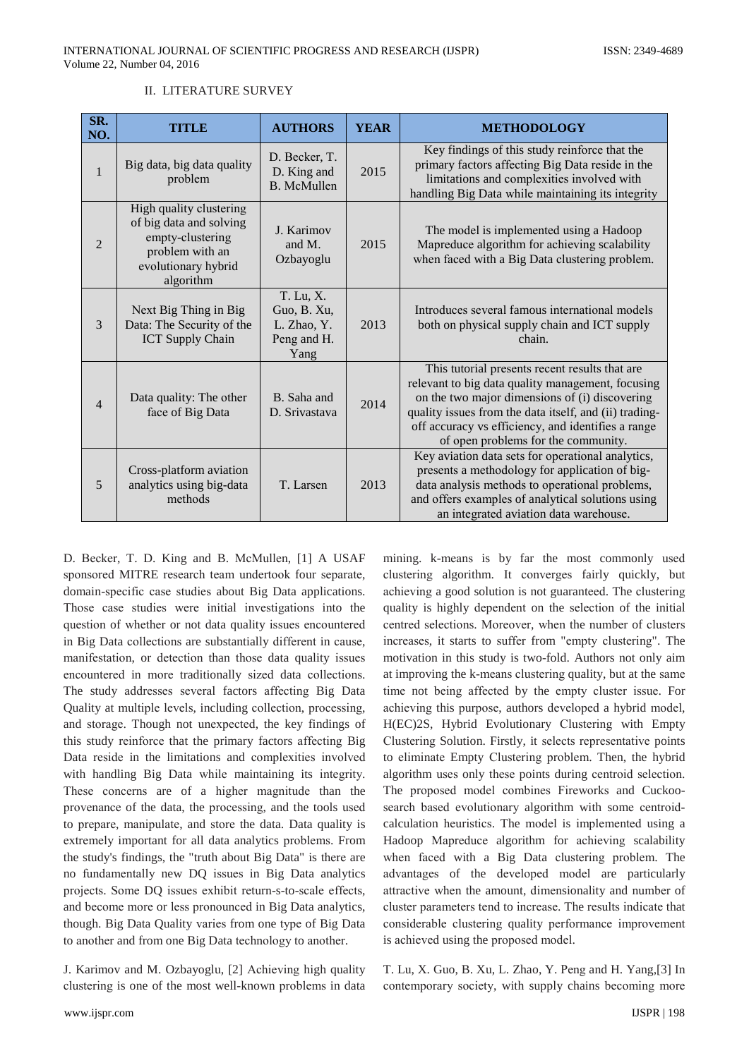| SR.<br>NO.     | TITLE                                                                                                                         | <b>AUTHORS</b>                                                 | <b>YEAR</b> | <b>METHODOLOGY</b>                                                                                                                                                                                                                                                                                           |
|----------------|-------------------------------------------------------------------------------------------------------------------------------|----------------------------------------------------------------|-------------|--------------------------------------------------------------------------------------------------------------------------------------------------------------------------------------------------------------------------------------------------------------------------------------------------------------|
| $\mathbf{1}$   | Big data, big data quality<br>problem                                                                                         | D. Becker, T.<br>D. King and<br><b>B.</b> McMullen             | 2015        | Key findings of this study reinforce that the<br>primary factors affecting Big Data reside in the<br>limitations and complexities involved with<br>handling Big Data while maintaining its integrity                                                                                                         |
| $\overline{2}$ | High quality clustering<br>of big data and solving<br>empty-clustering<br>problem with an<br>evolutionary hybrid<br>algorithm | J. Karimov<br>and M.<br>Ozbayoglu                              | 2015        | The model is implemented using a Hadoop<br>Mapreduce algorithm for achieving scalability<br>when faced with a Big Data clustering problem.                                                                                                                                                                   |
| 3              | Next Big Thing in Big<br>Data: The Security of the<br><b>ICT Supply Chain</b>                                                 | T. Lu, X.<br>Guo, B. Xu,<br>L. Zhao, Y.<br>Peng and H.<br>Yang | 2013        | Introduces several famous international models<br>both on physical supply chain and ICT supply<br>chain.                                                                                                                                                                                                     |
| $\overline{4}$ | Data quality: The other<br>face of Big Data                                                                                   | B. Saha and<br>D. Srivastava                                   | 2014        | This tutorial presents recent results that are<br>relevant to big data quality management, focusing<br>on the two major dimensions of (i) discovering<br>quality issues from the data itself, and (ii) trading-<br>off accuracy vs efficiency, and identifies a range<br>of open problems for the community. |
| 5              | Cross-platform aviation<br>analytics using big-data<br>methods                                                                | T. Larsen                                                      | 2013        | Key aviation data sets for operational analytics,<br>presents a methodology for application of big-<br>data analysis methods to operational problems,<br>and offers examples of analytical solutions using<br>an integrated aviation data warehouse.                                                         |

#### **II. LITERATURE SURVEY**

D. Becker, T. D. King and B. McMullen, [1] A USAF sponsored MITRE research team undertook four separate. domain-specific case studies about Big Data applications. Those case studies were initial investigations into the question of whether or not data quality issues encountered in Big Data collections are substantially different in cause, manifestation, or detection than those data quality issues encountered in more traditionally sized data collections. The study addresses several factors affecting Big Data Quality at multiple levels, including collection, processing, and storage. Though not unexpected, the key findings of this study reinforce that the primary factors affecting Big Data reside in the limitations and complexities involved with handling Big Data while maintaining its integrity. These concerns are of a higher magnitude than the provenance of the data, the processing, and the tools used to prepare, manipulate, and store the data. Data quality is extremely important for all data analytics problems. From the study's findings, the "truth about Big Data" is there are no fundamentally new DO issues in Big Data analytics projects. Some DQ issues exhibit return-s-to-scale effects, and become more or less pronounced in Big Data analytics, though. Big Data Quality varies from one type of Big Data to another and from one Big Data technology to another.

J. Karimov and M. Ozbayoglu, [2] Achieving high quality clustering is one of the most well-known problems in data mining. k-means is by far the most commonly used clustering algorithm. It converges fairly quickly, but achieving a good solution is not guaranteed. The clustering quality is highly dependent on the selection of the initial centred selections. Moreover, when the number of clusters increases, it starts to suffer from "empty clustering". The motivation in this study is two-fold. Authors not only aim at improving the k-means clustering quality, but at the same time not being affected by the empty cluster issue. For achieving this purpose, authors developed a hybrid model, H(EC)2S, Hybrid Evolutionary Clustering with Empty Clustering Solution. Firstly, it selects representative points to eliminate Empty Clustering problem. Then, the hybrid algorithm uses only these points during centroid selection. The proposed model combines Fireworks and Cuckoosearch based evolutionary algorithm with some centroidcalculation heuristics. The model is implemented using a Hadoop Mapreduce algorithm for achieving scalability when faced with a Big Data clustering problem. The advantages of the developed model are particularly attractive when the amount, dimensionality and number of cluster parameters tend to increase. The results indicate that considerable clustering quality performance improvement is achieved using the proposed model.

T. Lu, X. Guo, B. Xu, L. Zhao, Y. Peng and H. Yang, [3] In contemporary society, with supply chains becoming more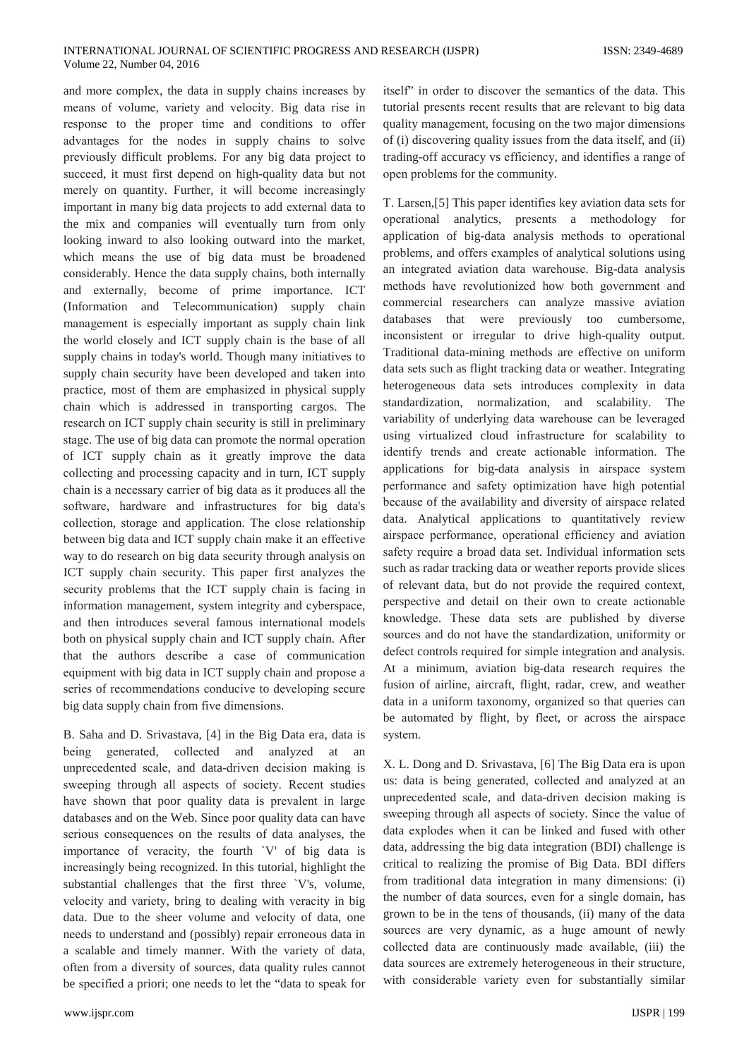and more complex, the data in supply chains increases by means of volume, variety and velocity. Big data rise in response to the proper time and conditions to offer advantages for the nodes in supply chains to solve previously difficult problems. For any big data project to succeed, it must first depend on high-quality data but not merely on quantity. Further, it will become increasingly important in many big data projects to add external data to the mix and companies will eventually turn from only looking inward to also looking outward into the market, which means the use of big data must be broadened considerably. Hence the data supply chains, both internally and externally, become of prime importance. ICT (Information and Telecommunication) supply chain management is especially important as supply chain link the world closely and ICT supply chain is the base of all supply chains in today's world. Though many initiatives to supply chain security have been developed and taken into practice, most of them are emphasized in physical supply chain which is addressed in transporting cargos. The research on ICT supply chain security is still in preliminary stage. The use of big data can promote the normal operation of ICT supply chain as it greatly improve the data collecting and processing capacity and in turn, ICT supply chain is a necessary carrier of big data as it produces all the software, hardware and infrastructures for big data's collection, storage and application. The close relationship between big data and ICT supply chain make it an effective way to do research on big data security through analysis on ICT supply chain security. This paper first analyzes the security problems that the ICT supply chain is facing in information management, system integrity and cyberspace, and then introduces several famous international models both on physical supply chain and ICT supply chain. After that the authors describe a case of communication equipment with big data in ICT supply chain and propose a series of recommendations conducive to developing secure big data supply chain from five dimensions.

B. Saha and D. Srivastava, [4] in the Big Data era, data is being generated, collected and analyzed at an unprecedented scale, and data-driven decision making is sweeping through all aspects of society. Recent studies have shown that poor quality data is prevalent in large databases and on the Web. Since poor quality data can have serious consequences on the results of data analyses, the importance of veracity, the fourth 'V' of big data is increasingly being recognized. In this tutorial, highlight the substantial challenges that the first three `V's, volume, velocity and variety, bring to dealing with veracity in big data. Due to the sheer volume and velocity of data, one needs to understand and (possibly) repair erroneous data in a scalable and timely manner. With the variety of data, often from a diversity of sources, data quality rules cannot be specified a priori; one needs to let the "data to speak for itself" in order to discover the semantics of the data. This tutorial presents recent results that are relevant to big data quality management, focusing on the two major dimensions of (i) discovering quality issues from the data itself, and (ii) trading-off accuracy vs efficiency, and identifies a range of open problems for the community.

T. Larsen, [5] This paper identifies key aviation data sets for operational analytics, presents a methodology for application of big-data analysis methods to operational problems, and offers examples of analytical solutions using an integrated aviation data warehouse. Big-data analysis methods have revolutionized how both government and commercial researchers can analyze massive aviation databases that were previously too cumbersome, inconsistent or irregular to drive high-quality output. Traditional data-mining methods are effective on uniform data sets such as flight tracking data or weather. Integrating heterogeneous data sets introduces complexity in data standardization, normalization, and scalability. The variability of underlying data warehouse can be leveraged using virtualized cloud infrastructure for scalability to identify trends and create actionable information. The applications for big-data analysis in airspace system performance and safety optimization have high potential because of the availability and diversity of airspace related data. Analytical applications to quantitatively review airspace performance, operational efficiency and aviation safety require a broad data set. Individual information sets such as radar tracking data or weather reports provide slices of relevant data, but do not provide the required context, perspective and detail on their own to create actionable knowledge. These data sets are published by diverse sources and do not have the standardization, uniformity or defect controls required for simple integration and analysis. At a minimum, aviation big-data research requires the fusion of airline, aircraft, flight, radar, crew, and weather data in a uniform taxonomy, organized so that queries can be automated by flight, by fleet, or across the airspace system.

X. L. Dong and D. Srivastava, [6] The Big Data era is upon us: data is being generated, collected and analyzed at an unprecedented scale, and data-driven decision making is sweeping through all aspects of society. Since the value of data explodes when it can be linked and fused with other data, addressing the big data integration (BDI) challenge is critical to realizing the promise of Big Data. BDI differs from traditional data integration in many dimensions: (i) the number of data sources, even for a single domain, has grown to be in the tens of thousands, (ii) many of the data sources are very dynamic, as a huge amount of newly collected data are continuously made available, (iii) the data sources are extremely heterogeneous in their structure, with considerable variety even for substantially similar